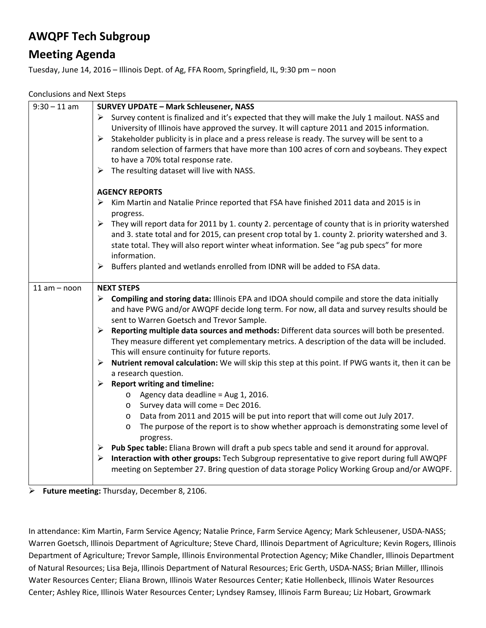## **AWQPF Tech Subgroup**

## **Meeting Agenda**

Tuesday, June 14, 2016 – Illinois Dept. of Ag, FFA Room, Springfield, IL, 9:30 pm – noon

Conclusions and Next Steps

| $9:30 - 11$ am | <b>SURVEY UPDATE - Mark Schleusener, NASS</b>                                                                                                                                                                                                             |
|----------------|-----------------------------------------------------------------------------------------------------------------------------------------------------------------------------------------------------------------------------------------------------------|
|                | Survey content is finalized and it's expected that they will make the July 1 mailout. NASS and                                                                                                                                                            |
|                | University of Illinois have approved the survey. It will capture 2011 and 2015 information.                                                                                                                                                               |
|                | Stakeholder publicity is in place and a press release is ready. The survey will be sent to a<br>$\blacktriangleright$                                                                                                                                     |
|                | random selection of farmers that have more than 100 acres of corn and soybeans. They expect                                                                                                                                                               |
|                | to have a 70% total response rate.                                                                                                                                                                                                                        |
|                | $\triangleright$ The resulting dataset will live with NASS.                                                                                                                                                                                               |
|                | <b>AGENCY REPORTS</b>                                                                                                                                                                                                                                     |
|                | Kim Martin and Natalie Prince reported that FSA have finished 2011 data and 2015 is in<br>➤                                                                                                                                                               |
|                | progress.                                                                                                                                                                                                                                                 |
|                | $\triangleright$ They will report data for 2011 by 1. county 2. percentage of county that is in priority watershed                                                                                                                                        |
|                | and 3. state total and for 2015, can present crop total by 1. county 2. priority watershed and 3.                                                                                                                                                         |
|                | state total. They will also report winter wheat information. See "ag pub specs" for more                                                                                                                                                                  |
|                | information.                                                                                                                                                                                                                                              |
|                | Buffers planted and wetlands enrolled from IDNR will be added to FSA data.<br>➤                                                                                                                                                                           |
| $11 am - noon$ | <b>NEXT STEPS</b>                                                                                                                                                                                                                                         |
|                | $\triangleright$ Compiling and storing data: Illinois EPA and IDOA should compile and store the data initially<br>and have PWG and/or AWQPF decide long term. For now, all data and survey results should be<br>sent to Warren Goetsch and Trevor Sample. |
|                | Reporting multiple data sources and methods: Different data sources will both be presented.<br>➤                                                                                                                                                          |
|                | They measure different yet complementary metrics. A description of the data will be included.                                                                                                                                                             |
|                | This will ensure continuity for future reports.                                                                                                                                                                                                           |
|                | Nutrient removal calculation: We will skip this step at this point. If PWG wants it, then it can be<br>➤<br>a research question.                                                                                                                          |
|                | <b>Report writing and timeline:</b><br>$\blacktriangleright$                                                                                                                                                                                              |
|                | $\circ$ Agency data deadline = Aug 1, 2016.                                                                                                                                                                                                               |
|                | Survey data will come = Dec 2016.<br>$\circ$                                                                                                                                                                                                              |
|                | Data from 2011 and 2015 will be put into report that will come out July 2017.<br>$\circ$                                                                                                                                                                  |
|                | The purpose of the report is to show whether approach is demonstrating some level of<br>O                                                                                                                                                                 |
|                | progress.                                                                                                                                                                                                                                                 |
|                | Pub Spec table: Eliana Brown will draft a pub specs table and send it around for approval.<br>➤                                                                                                                                                           |
|                | Interaction with other groups: Tech Subgroup representative to give report during full AWQPF<br>➤                                                                                                                                                         |
|                | meeting on September 27. Bring question of data storage Policy Working Group and/or AWQPF.                                                                                                                                                                |

**Future meeting:** Thursday, December 8, 2106.

In attendance: Kim Martin, Farm Service Agency; Natalie Prince, Farm Service Agency; Mark Schleusener, USDA‐NASS; Warren Goetsch, Illinois Department of Agriculture; Steve Chard, Illinois Department of Agriculture; Kevin Rogers, Illinois Department of Agriculture; Trevor Sample, Illinois Environmental Protection Agency; Mike Chandler, Illinois Department of Natural Resources; Lisa Beja, Illinois Department of Natural Resources; Eric Gerth, USDA‐NASS; Brian Miller, Illinois Water Resources Center; Eliana Brown, Illinois Water Resources Center; Katie Hollenbeck, Illinois Water Resources Center; Ashley Rice, Illinois Water Resources Center; Lyndsey Ramsey, Illinois Farm Bureau; Liz Hobart, Growmark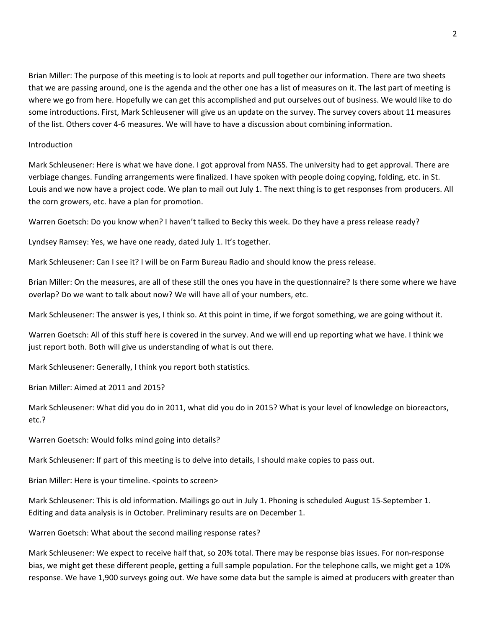Brian Miller: The purpose of this meeting is to look at reports and pull together our information. There are two sheets that we are passing around, one is the agenda and the other one has a list of measures on it. The last part of meeting is where we go from here. Hopefully we can get this accomplished and put ourselves out of business. We would like to do some introductions. First, Mark Schleusener will give us an update on the survey. The survey covers about 11 measures of the list. Others cover 4‐6 measures. We will have to have a discussion about combining information.

## Introduction

Mark Schleusener: Here is what we have done. I got approval from NASS. The university had to get approval. There are verbiage changes. Funding arrangements were finalized. I have spoken with people doing copying, folding, etc. in St. Louis and we now have a project code. We plan to mail out July 1. The next thing is to get responses from producers. All the corn growers, etc. have a plan for promotion.

Warren Goetsch: Do you know when? I haven't talked to Becky this week. Do they have a press release ready?

Lyndsey Ramsey: Yes, we have one ready, dated July 1. It's together.

Mark Schleusener: Can I see it? I will be on Farm Bureau Radio and should know the press release.

Brian Miller: On the measures, are all of these still the ones you have in the questionnaire? Is there some where we have overlap? Do we want to talk about now? We will have all of your numbers, etc.

Mark Schleusener: The answer is yes, I think so. At this point in time, if we forgot something, we are going without it.

Warren Goetsch: All of this stuff here is covered in the survey. And we will end up reporting what we have. I think we just report both. Both will give us understanding of what is out there.

Mark Schleusener: Generally, I think you report both statistics.

Brian Miller: Aimed at 2011 and 2015?

Mark Schleusener: What did you do in 2011, what did you do in 2015? What is your level of knowledge on bioreactors, etc.?

Warren Goetsch: Would folks mind going into details?

Mark Schleusener: If part of this meeting is to delve into details, I should make copies to pass out.

Brian Miller: Here is your timeline. < points to screen>

Mark Schleusener: This is old information. Mailings go out in July 1. Phoning is scheduled August 15‐September 1. Editing and data analysis is in October. Preliminary results are on December 1.

Warren Goetsch: What about the second mailing response rates?

Mark Schleusener: We expect to receive half that, so 20% total. There may be response bias issues. For non‐response bias, we might get these different people, getting a full sample population. For the telephone calls, we might get a 10% response. We have 1,900 surveys going out. We have some data but the sample is aimed at producers with greater than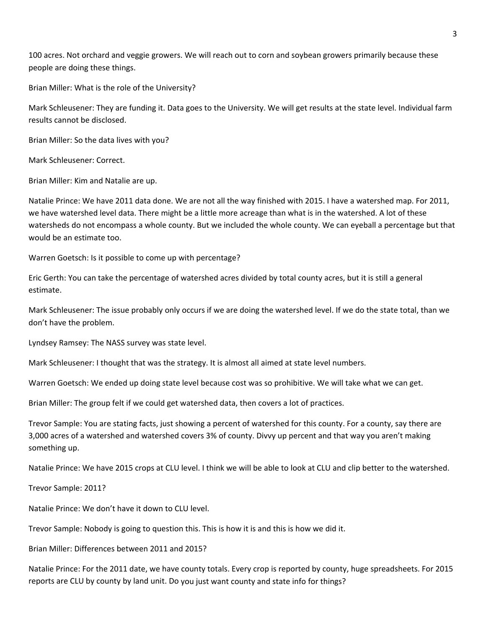100 acres. Not orchard and veggie growers. We will reach out to corn and soybean growers primarily because these people are doing these things.

Brian Miller: What is the role of the University?

Mark Schleusener: They are funding it. Data goes to the University. We will get results at the state level. Individual farm results cannot be disclosed.

Brian Miller: So the data lives with you?

Mark Schleusener: Correct.

Brian Miller: Kim and Natalie are up.

Natalie Prince: We have 2011 data done. We are not all the way finished with 2015. I have a watershed map. For 2011, we have watershed level data. There might be a little more acreage than what is in the watershed. A lot of these watersheds do not encompass a whole county. But we included the whole county. We can eyeball a percentage but that would be an estimate too.

Warren Goetsch: Is it possible to come up with percentage?

Eric Gerth: You can take the percentage of watershed acres divided by total county acres, but it is still a general estimate.

Mark Schleusener: The issue probably only occurs if we are doing the watershed level. If we do the state total, than we don't have the problem.

Lyndsey Ramsey: The NASS survey was state level.

Mark Schleusener: I thought that was the strategy. It is almost all aimed at state level numbers.

Warren Goetsch: We ended up doing state level because cost was so prohibitive. We will take what we can get.

Brian Miller: The group felt if we could get watershed data, then covers a lot of practices.

Trevor Sample: You are stating facts, just showing a percent of watershed for this county. For a county, say there are 3,000 acres of a watershed and watershed covers 3% of county. Divvy up percent and that way you aren't making something up.

Natalie Prince: We have 2015 crops at CLU level. I think we will be able to look at CLU and clip better to the watershed.

Trevor Sample: 2011?

Natalie Prince: We don't have it down to CLU level.

Trevor Sample: Nobody is going to question this. This is how it is and this is how we did it.

Brian Miller: Differences between 2011 and 2015?

Natalie Prince: For the 2011 date, we have county totals. Every crop is reported by county, huge spreadsheets. For 2015 reports are CLU by county by land unit. Do you just want county and state info for things?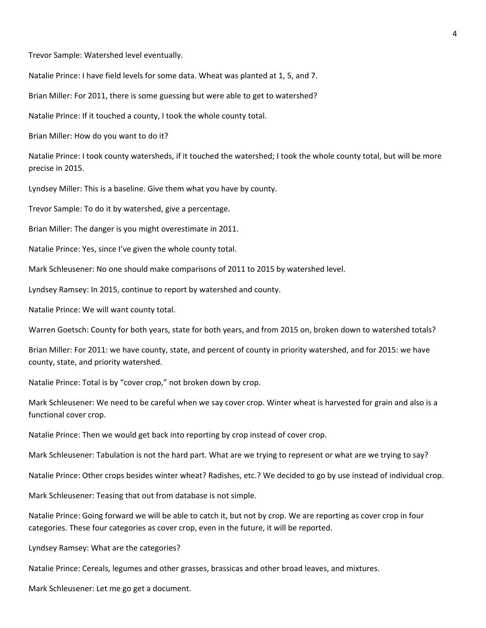Trevor Sample: Watershed level eventually.

Natalie Prince: I have field levels for some data. Wheat was planted at 1, 5, and 7.

Brian Miller: For 2011, there is some guessing but were able to get to watershed?

Natalie Prince: If it touched a county, I took the whole county total.

Brian Miller: How do you want to do it?

Natalie Prince: I took county watersheds, if it touched the watershed; I took the whole county total, but will be more precise in 2015.

Lyndsey Miller: This is a baseline. Give them what you have by county.

Trevor Sample: To do it by watershed, give a percentage.

Brian Miller: The danger is you might overestimate in 2011.

Natalie Prince: Yes, since I've given the whole county total.

Mark Schleusener: No one should make comparisons of 2011 to 2015 by watershed level.

Lyndsey Ramsey: In 2015, continue to report by watershed and county.

Natalie Prince: We will want county total.

Warren Goetsch: County for both years, state for both years, and from 2015 on, broken down to watershed totals?

Brian Miller: For 2011: we have county, state, and percent of county in priority watershed, and for 2015: we have county, state, and priority watershed.

Natalie Prince: Total is by "cover crop," not broken down by crop.

Mark Schleusener: We need to be careful when we say cover crop. Winter wheat is harvested for grain and also is a functional cover crop.

Natalie Prince: Then we would get back into reporting by crop instead of cover crop.

Mark Schleusener: Tabulation is not the hard part. What are we trying to represent or what are we trying to say?

Natalie Prince: Other crops besides winter wheat? Radishes, etc.? We decided to go by use instead of individual crop.

Mark Schleusener: Teasing that out from database is not simple.

Natalie Prince: Going forward we will be able to catch it, but not by crop. We are reporting as cover crop in four categories. These four categories as cover crop, even in the future, it will be reported.

Lyndsey Ramsey: What are the categories?

Natalie Prince: Cereals, legumes and other grasses, brassicas and other broad leaves, and mixtures.

Mark Schleusener: Let me go get a document.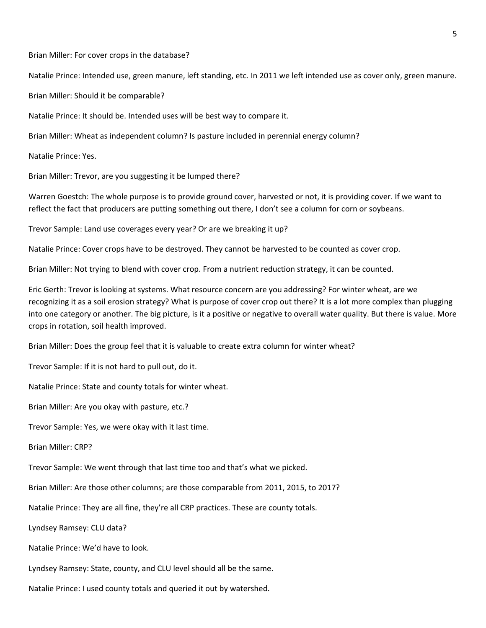Brian Miller: For cover crops in the database?

Natalie Prince: Intended use, green manure, left standing, etc. In 2011 we left intended use as cover only, green manure.

Brian Miller: Should it be comparable?

Natalie Prince: It should be. Intended uses will be best way to compare it.

Brian Miller: Wheat as independent column? Is pasture included in perennial energy column?

Natalie Prince: Yes.

Brian Miller: Trevor, are you suggesting it be lumped there?

Warren Goestch: The whole purpose is to provide ground cover, harvested or not, it is providing cover. If we want to reflect the fact that producers are putting something out there, I don't see a column for corn or soybeans.

Trevor Sample: Land use coverages every year? Or are we breaking it up?

Natalie Prince: Cover crops have to be destroyed. They cannot be harvested to be counted as cover crop.

Brian Miller: Not trying to blend with cover crop. From a nutrient reduction strategy, it can be counted.

Eric Gerth: Trevor is looking at systems. What resource concern are you addressing? For winter wheat, are we recognizing it as a soil erosion strategy? What is purpose of cover crop out there? It is a lot more complex than plugging into one category or another. The big picture, is it a positive or negative to overall water quality. But there is value. More crops in rotation, soil health improved.

Brian Miller: Does the group feel that it is valuable to create extra column for winter wheat?

Trevor Sample: If it is not hard to pull out, do it.

Natalie Prince: State and county totals for winter wheat.

Brian Miller: Are you okay with pasture, etc.?

Trevor Sample: Yes, we were okay with it last time.

Brian Miller: CRP?

Trevor Sample: We went through that last time too and that's what we picked.

Brian Miller: Are those other columns; are those comparable from 2011, 2015, to 2017?

Natalie Prince: They are all fine, they're all CRP practices. These are county totals.

Lyndsey Ramsey: CLU data?

Natalie Prince: We'd have to look.

Lyndsey Ramsey: State, county, and CLU level should all be the same.

Natalie Prince: I used county totals and queried it out by watershed.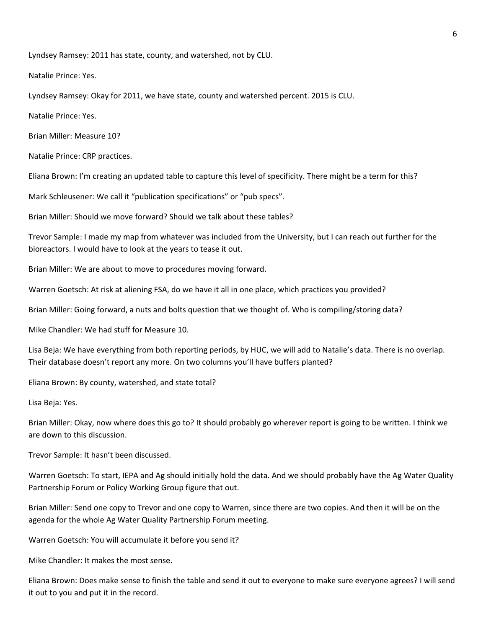Lyndsey Ramsey: 2011 has state, county, and watershed, not by CLU.

Natalie Prince: Yes.

Lyndsey Ramsey: Okay for 2011, we have state, county and watershed percent. 2015 is CLU.

Natalie Prince: Yes.

Brian Miller: Measure 10?

Natalie Prince: CRP practices.

Eliana Brown: I'm creating an updated table to capture this level of specificity. There might be a term for this?

Mark Schleusener: We call it "publication specifications" or "pub specs".

Brian Miller: Should we move forward? Should we talk about these tables?

Trevor Sample: I made my map from whatever was included from the University, but I can reach out further for the bioreactors. I would have to look at the years to tease it out.

Brian Miller: We are about to move to procedures moving forward.

Warren Goetsch: At risk at aliening FSA, do we have it all in one place, which practices you provided?

Brian Miller: Going forward, a nuts and bolts question that we thought of. Who is compiling/storing data?

Mike Chandler: We had stuff for Measure 10.

Lisa Beja: We have everything from both reporting periods, by HUC, we will add to Natalie's data. There is no overlap. Their database doesn't report any more. On two columns you'll have buffers planted?

Eliana Brown: By county, watershed, and state total?

Lisa Beja: Yes.

Brian Miller: Okay, now where does this go to? It should probably go wherever report is going to be written. I think we are down to this discussion.

Trevor Sample: It hasn't been discussed.

Warren Goetsch: To start, IEPA and Ag should initially hold the data. And we should probably have the Ag Water Quality Partnership Forum or Policy Working Group figure that out.

Brian Miller: Send one copy to Trevor and one copy to Warren, since there are two copies. And then it will be on the agenda for the whole Ag Water Quality Partnership Forum meeting.

Warren Goetsch: You will accumulate it before you send it?

Mike Chandler: It makes the most sense.

Eliana Brown: Does make sense to finish the table and send it out to everyone to make sure everyone agrees? I will send it out to you and put it in the record.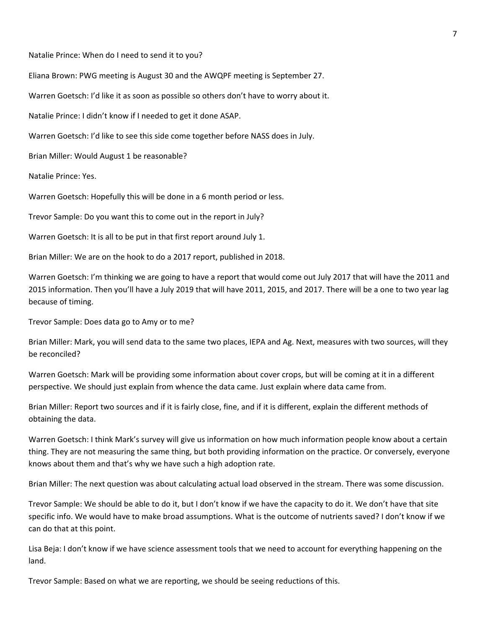Natalie Prince: When do I need to send it to you?

Eliana Brown: PWG meeting is August 30 and the AWQPF meeting is September 27.

Warren Goetsch: I'd like it as soon as possible so others don't have to worry about it.

Natalie Prince: I didn't know if I needed to get it done ASAP.

Warren Goetsch: I'd like to see this side come together before NASS does in July.

Brian Miller: Would August 1 be reasonable?

Natalie Prince: Yes.

Warren Goetsch: Hopefully this will be done in a 6 month period or less.

Trevor Sample: Do you want this to come out in the report in July?

Warren Goetsch: It is all to be put in that first report around July 1.

Brian Miller: We are on the hook to do a 2017 report, published in 2018.

Warren Goetsch: I'm thinking we are going to have a report that would come out July 2017 that will have the 2011 and 2015 information. Then you'll have a July 2019 that will have 2011, 2015, and 2017. There will be a one to two year lag because of timing.

Trevor Sample: Does data go to Amy or to me?

Brian Miller: Mark, you will send data to the same two places, IEPA and Ag. Next, measures with two sources, will they be reconciled?

Warren Goetsch: Mark will be providing some information about cover crops, but will be coming at it in a different perspective. We should just explain from whence the data came. Just explain where data came from.

Brian Miller: Report two sources and if it is fairly close, fine, and if it is different, explain the different methods of obtaining the data.

Warren Goetsch: I think Mark's survey will give us information on how much information people know about a certain thing. They are not measuring the same thing, but both providing information on the practice. Or conversely, everyone knows about them and that's why we have such a high adoption rate.

Brian Miller: The next question was about calculating actual load observed in the stream. There was some discussion.

Trevor Sample: We should be able to do it, but I don't know if we have the capacity to do it. We don't have that site specific info. We would have to make broad assumptions. What is the outcome of nutrients saved? I don't know if we can do that at this point.

Lisa Beja: I don't know if we have science assessment tools that we need to account for everything happening on the land.

Trevor Sample: Based on what we are reporting, we should be seeing reductions of this.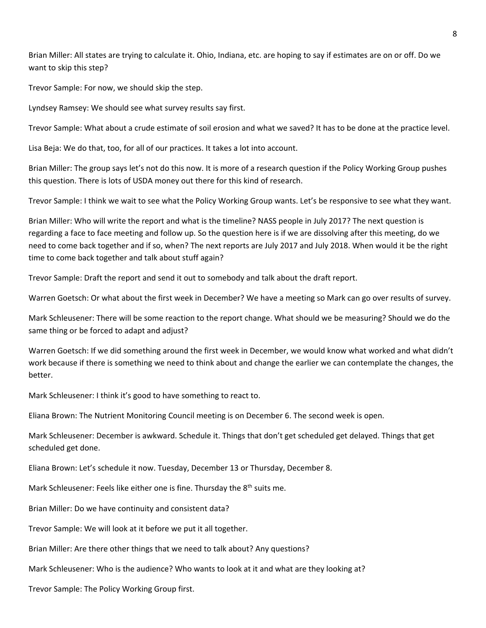Brian Miller: All states are trying to calculate it. Ohio, Indiana, etc. are hoping to say if estimates are on or off. Do we want to skip this step?

Trevor Sample: For now, we should skip the step.

Lyndsey Ramsey: We should see what survey results say first.

Trevor Sample: What about a crude estimate of soil erosion and what we saved? It has to be done at the practice level.

Lisa Beja: We do that, too, for all of our practices. It takes a lot into account.

Brian Miller: The group says let's not do this now. It is more of a research question if the Policy Working Group pushes this question. There is lots of USDA money out there for this kind of research.

Trevor Sample: I think we wait to see what the Policy Working Group wants. Let's be responsive to see what they want.

Brian Miller: Who will write the report and what is the timeline? NASS people in July 2017? The next question is regarding a face to face meeting and follow up. So the question here is if we are dissolving after this meeting, do we need to come back together and if so, when? The next reports are July 2017 and July 2018. When would it be the right time to come back together and talk about stuff again?

Trevor Sample: Draft the report and send it out to somebody and talk about the draft report.

Warren Goetsch: Or what about the first week in December? We have a meeting so Mark can go over results of survey.

Mark Schleusener: There will be some reaction to the report change. What should we be measuring? Should we do the same thing or be forced to adapt and adjust?

Warren Goetsch: If we did something around the first week in December, we would know what worked and what didn't work because if there is something we need to think about and change the earlier we can contemplate the changes, the better.

Mark Schleusener: I think it's good to have something to react to.

Eliana Brown: The Nutrient Monitoring Council meeting is on December 6. The second week is open.

Mark Schleusener: December is awkward. Schedule it. Things that don't get scheduled get delayed. Things that get scheduled get done.

Eliana Brown: Let's schedule it now. Tuesday, December 13 or Thursday, December 8.

Mark Schleusener: Feels like either one is fine. Thursday the 8<sup>th</sup> suits me.

Brian Miller: Do we have continuity and consistent data?

Trevor Sample: We will look at it before we put it all together.

Brian Miller: Are there other things that we need to talk about? Any questions?

Mark Schleusener: Who is the audience? Who wants to look at it and what are they looking at?

Trevor Sample: The Policy Working Group first.